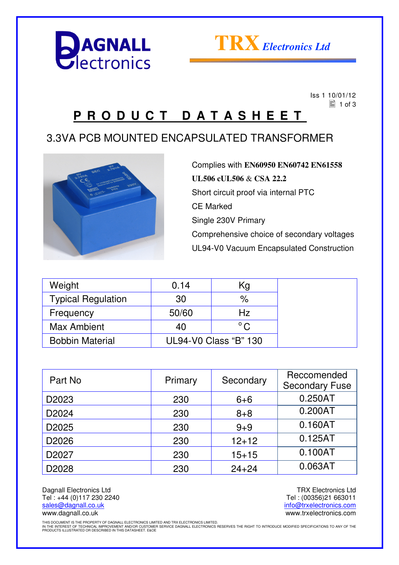



 Iss 1 10/01/12  $\Xi$  1 of 3

## **P R O D U C T D A T A S H E E T**

#### 3.3VA PCB MOUNTED ENCAPSULATED TRANSFORMER



Complies with **EN60950 EN60742 EN61558 UL506 cUL506** & **CSA 22.2** Short circuit proof via internal PTC CE Marked Single 230V Primary Comprehensive choice of secondary voltages UL94-V0 Vacuum Encapsulated Construction

| Weight                    | 0.14                  | Kg            |  |
|---------------------------|-----------------------|---------------|--|
| <b>Typical Regulation</b> | 30                    | %             |  |
| Frequency                 | 50/60                 | Hz            |  |
| <b>Max Ambient</b>        | 40                    | $^{\circ}$ C. |  |
| <b>Bobbin Material</b>    | UL94-V0 Class "B" 130 |               |  |

| Part No           | Primary | Secondary | Reccomended<br><b>Secondary Fuse</b> |
|-------------------|---------|-----------|--------------------------------------|
| D <sub>2023</sub> | 230     | $6 + 6$   | 0.250AT                              |
| D <sub>2024</sub> | 230     | $8 + 8$   | 0.200AT                              |
| D2025             | 230     | $9 + 9$   | 0.160AT                              |
| D <sub>2026</sub> | 230     | $12 + 12$ | 0.125AT                              |
| D2027             | 230     | $15 + 15$ | 0.100AT                              |
| D2028             | 230     | $24 + 24$ | 0.063AT                              |

Dagnall Electronics Ltd Tel : +44 (0)117 230 2240 sales@dagnall.co.uk www.dagnall.co.uk

TRX Electronics Ltd Tel : (00356)21 663011 info@trxelectronics.com www.trxelectronics.com

THIS DOCUMENT IS THE PROPERTY OF DAGNALL ELECTRONICS LIMITED AND TRX ELECTRONICS LIMITED.<br>IN THE INTEREST OF TECHNICAL IMPROVEMENT AND/OR CUSTOMER SERVICE DAGNALL ELECTRONICS RESERVES THE RIGHT TO INTRODUCE MODIFIED SPECIF PRODUCTS ILLUSTRATED OR DESCRIBED IN THIS DATASHEET. E&OE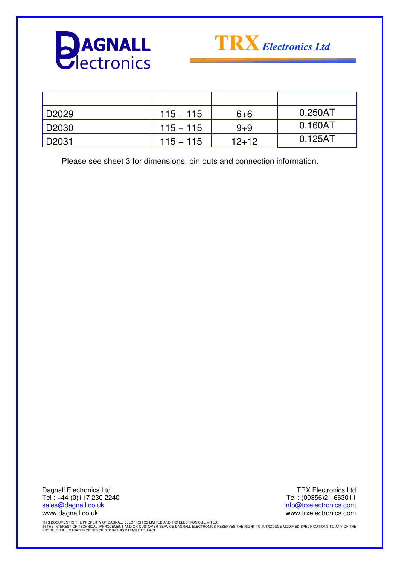



| D2029        | $115 + 115$ | $6 + 6$ | 0.250AT |
|--------------|-------------|---------|---------|
| D2030        | $115 + 115$ | $9 + 9$ | 0.160AT |
| <b>D2031</b> | $115 + 115$ | $12+12$ | 0.125AT |

Please see sheet 3 for dimensions, pin outs and connection information.

Dagnall Electronics Ltd Tel : +44 (0)117 230 2240 sales@dagnall.co.uk www.dagnall.co.uk

TRX Electronics Ltd Tel : (00356)21 663011 info@trxelectronics.com www.trxelectronics.com

THIS DOCUMENT IS THE PROPERTY OF DAGNALL ELECTRONICS LIMITED AND TRX ELECTRONICS LIMITED.<br>IN THE INTEREST OF TECHNICAL IMPROVEMENT AND/OR CUSTOMER SERVICE DAGNALL ELECTRONICS RESERVES THE RIGHT TO INTRODUCE MODIFIED SPECIF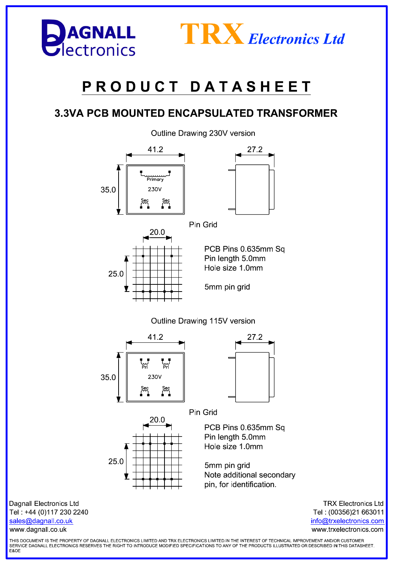

www.dagnall.co.uk



# PRODUCT DATASHEET

### **3.3VA PCB MOUNTED ENCAPSULATED TRANSFORMER**

Outline Drawing 230V version



**TRX Electronics Ltd** Tel: (00356)21 663011 info@trxelectronics.com www.trxelectronics.com

THIS DOCUMENT IS THE PROPERTY OF DAGNALL ELECTRONICS LIMITED AND TRX ELECTRONICS LIMITED.IN THE INTEREST OF TECHNICAL IMPROVEMENT AND/OR CUSTOMER SERVICE DAGNALL ELECTRONICS RESERVES THE RIGHT TO INTRODUCE MODIFIED SPECIFICATIONS TO ANY OF THE PRODUCTS ILLUSTRATED OR DESCRIBED IN THIS DATASHEET. **F&OF**